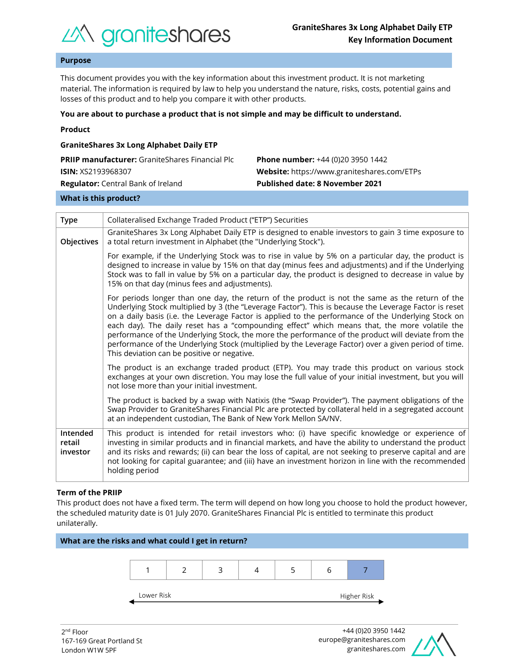

## **Purpose**

This document provides you with the key information about this investment product. It is not marketing material. The information is required by law to help you understand the nature, risks, costs, potential gains and losses of this product and to help you compare it with other products.

#### **You are about to purchase a product that is not simple and may be difficult to understand.**

| <b>GraniteShares 3x Long Alphabet Daily ETP</b>        |                                             |  |  |  |
|--------------------------------------------------------|---------------------------------------------|--|--|--|
| <b>PRIIP manufacturer:</b> GraniteShares Financial Plc | <b>Phone number:</b> +44 (0)20 3950 1442    |  |  |  |
| <b>ISIN: XS2193968307</b>                              | Website: https://www.graniteshares.com/ETPs |  |  |  |
| <b>Regulator:</b> Central Bank of Ireland              | <b>Published date: 8 November 2021</b>      |  |  |  |
|                                                        |                                             |  |  |  |

#### **What is this product?**

| <b>Type</b>                    | Collateralised Exchange Traded Product ("ETP") Securities                                                                                                                                                                                                                                                                                                                                                                                                                                                                                                                                                                                                                      |  |  |  |
|--------------------------------|--------------------------------------------------------------------------------------------------------------------------------------------------------------------------------------------------------------------------------------------------------------------------------------------------------------------------------------------------------------------------------------------------------------------------------------------------------------------------------------------------------------------------------------------------------------------------------------------------------------------------------------------------------------------------------|--|--|--|
| Objectives                     | GraniteShares 3x Long Alphabet Daily ETP is designed to enable investors to gain 3 time exposure to<br>a total return investment in Alphabet (the "Underlying Stock").                                                                                                                                                                                                                                                                                                                                                                                                                                                                                                         |  |  |  |
|                                | For example, if the Underlying Stock was to rise in value by 5% on a particular day, the product is<br>designed to increase in value by 15% on that day (minus fees and adjustments) and if the Underlying<br>Stock was to fall in value by 5% on a particular day, the product is designed to decrease in value by<br>15% on that day (minus fees and adjustments).                                                                                                                                                                                                                                                                                                           |  |  |  |
|                                | For periods longer than one day, the return of the product is not the same as the return of the<br>Underlying Stock multiplied by 3 (the "Leverage Factor"). This is because the Leverage Factor is reset<br>on a daily basis (i.e. the Leverage Factor is applied to the performance of the Underlying Stock on<br>each day). The daily reset has a "compounding effect" which means that, the more volatile the<br>performance of the Underlying Stock, the more the performance of the product will deviate from the<br>performance of the Underlying Stock (multiplied by the Leverage Factor) over a given period of time.<br>This deviation can be positive or negative. |  |  |  |
|                                | The product is an exchange traded product (ETP). You may trade this product on various stock<br>exchanges at your own discretion. You may lose the full value of your initial investment, but you will<br>not lose more than your initial investment.                                                                                                                                                                                                                                                                                                                                                                                                                          |  |  |  |
|                                | The product is backed by a swap with Natixis (the "Swap Provider"). The payment obligations of the<br>Swap Provider to GraniteShares Financial Plc are protected by collateral held in a segregated account<br>at an independent custodian, The Bank of New York Mellon SA/NV.                                                                                                                                                                                                                                                                                                                                                                                                 |  |  |  |
| Intended<br>retail<br>investor | This product is intended for retail investors who: (i) have specific knowledge or experience of<br>investing in similar products and in financial markets, and have the ability to understand the product<br>and its risks and rewards; (ii) can bear the loss of capital, are not seeking to preserve capital and are<br>not looking for capital guarantee; and (iii) have an investment horizon in line with the recommended<br>holding period                                                                                                                                                                                                                               |  |  |  |

#### **Term of the PRIIP**

This product does not have a fixed term. The term will depend on how long you choose to hold the product however, the scheduled maturity date is 01 July 2070. GraniteShares Financial Plc is entitled to terminate this product unilaterally.



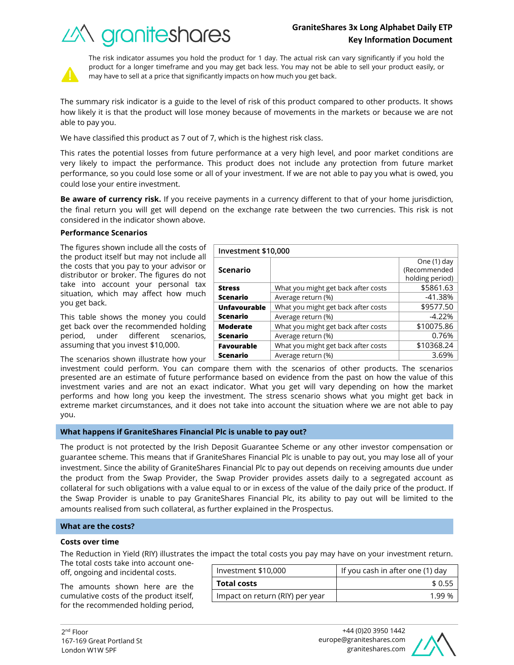# *industry of Crantes*

What you might get back after costs  $\sim$  \$5861.63 Average return (%) and the set of the set of the set of the set of the set of the set of the set of the set of the set of the set of the set of the set of the set of the set of the set of the set of the set of the set of t

What you might get back after costs  $\sim$  \$9577.50 Average return  $(\%)$   $\qquad \qquad$   $\qquad \qquad$  -4.22%

What you might get back after costs  $\vert$  \$10075.86 Average return (%) and the control of the control of  $0.76\%$ 



The risk indicator assumes you hold the product for 1 day. The actual risk can vary significantly if you hold the product for a longer timeframe and you may get back less. You may not be able to sell your product easily, or may have to sell at a price that significantly impacts on how much you get back.

The summary risk indicator is a guide to the level of risk of this product compared to other products. It shows how likely it is that the product will lose money because of movements in the markets or because we are not able to pay you.

We have classified this product as 7 out of 7, which is the highest risk class.

This rates the potential losses from future performance at a very high level, and poor market conditions are very likely to impact the performance. This product does not include any protection from future market performance, so you could lose some or all of your investment. If we are not able to pay you what is owed, you could lose your entire investment.

**Be aware of currency risk.** If you receive payments in a currency different to that of your home jurisdiction, the final return you will get will depend on the exchange rate between the two currencies. This risk is not considered in the indicator shown above.

**Investment \$10,000**

**Scenario**

**Unfavourable Scenario**

**Moderate Scenario**

**Stress Scenario**

## **Performance Scenarios**

The figures shown include all the costs of the product itself but may not include all the costs that you pay to your advisor or distributor or broker. The figures do not take into account your personal tax situation, which may affect how much you get back.

This table shows the money you could get back over the recommended holding period, under different scenarios, assuming that you invest \$10,000.

The scenarios shown illustrate how your

investment could perform. You can compare them with the scenarios of other products. The scenarios presented are an estimate of future performance based on evidence from the past on how the value of this investment varies and are not an exact indicator. What you get will vary depending on how the market performs and how long you keep the investment. The stress scenario shows what you might get back in extreme market circumstances, and it does not take into account the situation where we are not able to pay you. **Favourable Scenario** What you might get back after costs  $\vert$  \$10368.24 Average return (%) and the set of the set of the set of the set of the set of the set of the set of the set of the set of the set of the set of the set of the set of the set of the set of the set of the set of the set of t

## **What happens if GraniteShares Financial Plc is unable to pay out?**

The product is not protected by the Irish Deposit Guarantee Scheme or any other investor compensation or guarantee scheme. This means that if GraniteShares Financial Plc is unable to pay out, you may lose all of your investment. Since the ability of GraniteShares Financial Plc to pay out depends on receiving amounts due under the product from the Swap Provider, the Swap Provider provides assets daily to a segregated account as collateral for such obligations with a value equal to or in excess of the value of the daily price of the product. If the Swap Provider is unable to pay GraniteShares Financial Plc, its ability to pay out will be limited to the amounts realised from such collateral, as further explained in the Prospectus.

## **What are the costs?**

#### **Costs over time**

The Reduction in Yield (RIY) illustrates the impact the total costs you pay may have on your investment return.

The total costs take into account oneoff, ongoing and incidental costs.

The amounts shown here are the cumulative costs of the product itself, for the recommended holding period,

| Investment \$10,000             | If you cash in after one (1) day |  |
|---------------------------------|----------------------------------|--|
| <b>Total costs</b>              | \$0.55                           |  |
| Impact on return (RIY) per year | 199%                             |  |



One (1) day (Recommended holding period)